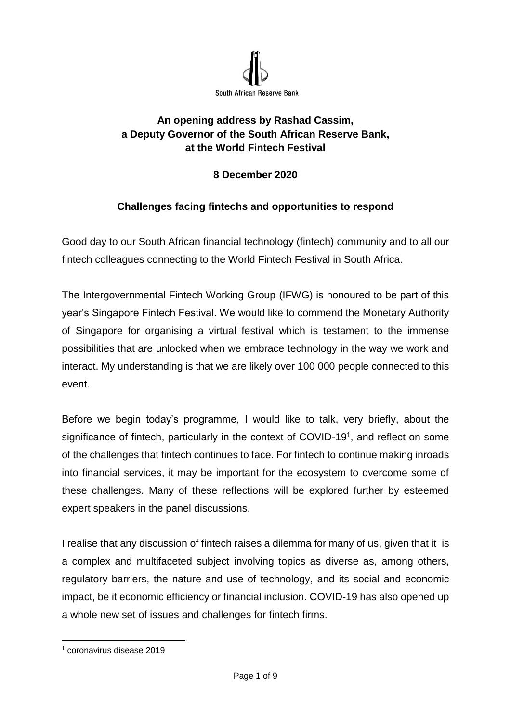

# **An opening address by Rashad Cassim, a Deputy Governor of the South African Reserve Bank, at the World Fintech Festival**

# **8 December 2020**

# **Challenges facing fintechs and opportunities to respond**

Good day to our South African financial technology (fintech) community and to all our fintech colleagues connecting to the World Fintech Festival in South Africa.

The Intergovernmental Fintech Working Group (IFWG) is honoured to be part of this year's Singapore Fintech Festival. We would like to commend the Monetary Authority of Singapore for organising a virtual festival which is testament to the immense possibilities that are unlocked when we embrace technology in the way we work and interact. My understanding is that we are likely over 100 000 people connected to this event.

Before we begin today's programme, I would like to talk, very briefly, about the significance of fintech, particularly in the context of COVID-19<sup>1</sup>, and reflect on some of the challenges that fintech continues to face. For fintech to continue making inroads into financial services, it may be important for the ecosystem to overcome some of these challenges. Many of these reflections will be explored further by esteemed expert speakers in the panel discussions.

I realise that any discussion of fintech raises a dilemma for many of us, given that it is a complex and multifaceted subject involving topics as diverse as, among others, regulatory barriers, the nature and use of technology, and its social and economic impact, be it economic efficiency or financial inclusion. COVID-19 has also opened up a whole new set of issues and challenges for fintech firms.

L,

<sup>1</sup> coronavirus disease 2019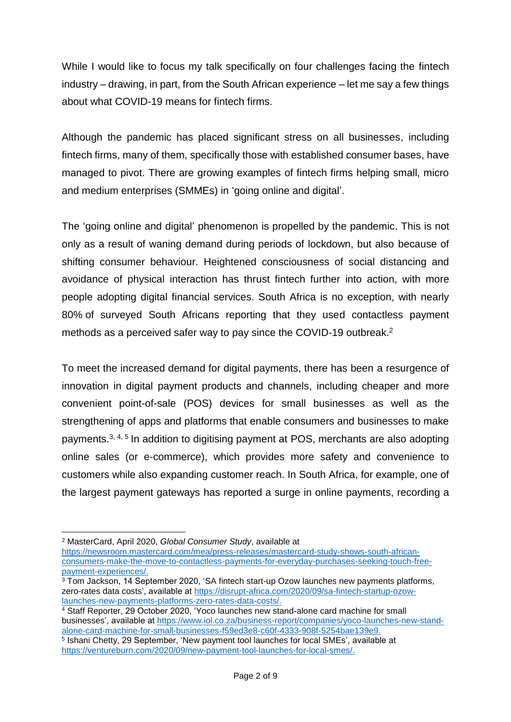While I would like to focus my talk specifically on four challenges facing the fintech industry – drawing, in part, from the South African experience – let me say a few things about what COVID-19 means for fintech firms.

Although the pandemic has placed significant stress on all businesses, including fintech firms, many of them, specifically those with established consumer bases, have managed to pivot. There are growing examples of fintech firms helping small, micro and medium enterprises (SMMEs) in 'going online and digital'.

The 'going online and digital' phenomenon is propelled by the pandemic. This is not only as a result of waning demand during periods of lockdown, but also because of shifting consumer behaviour. Heightened consciousness of social distancing and avoidance of physical interaction has thrust fintech further into action, with more people adopting digital financial services. South Africa is no exception, with nearly 80% of surveyed South Africans reporting that they used contactless payment methods as a perceived safer way to pay since the COVID-19 outbreak.<sup>2</sup>

To meet the increased demand for digital payments, there has been a resurgence of innovation in digital payment products and channels, including cheaper and more convenient point-of-sale (POS) devices for small businesses as well as the strengthening of apps and platforms that enable consumers and businesses to make payments.<sup>3, 4, 5</sup> In addition to digitising payment at POS, merchants are also adopting online sales (or e-commerce), which provides more safety and convenience to customers while also expanding customer reach. In South Africa, for example, one of the largest payment gateways has reported a surge in online payments, recording a

<sup>&</sup>lt;u>.</u> <sup>2</sup> MasterCard, April 2020, *Global Consumer Study*, available at

[https://newsroom.mastercard.com/mea/press-releases/mastercard-study-shows-south-african](https://newsroom.mastercard.com/mea/press-releases/mastercard-study-shows-south-african-consumers-make-the-move-to-contactless-payments-for-everyday-purchases-seeking-touch-free-payment-experiences/)[consumers-make-the-move-to-contactless-payments-for-everyday-purchases-seeking-touch-free](https://newsroom.mastercard.com/mea/press-releases/mastercard-study-shows-south-african-consumers-make-the-move-to-contactless-payments-for-everyday-purchases-seeking-touch-free-payment-experiences/)[payment-experiences/.](https://newsroom.mastercard.com/mea/press-releases/mastercard-study-shows-south-african-consumers-make-the-move-to-contactless-payments-for-everyday-purchases-seeking-touch-free-payment-experiences/)

<sup>3</sup> Tom Jackson, 14 September 2020, 'SA fintech start-up Ozow launches new payments platforms, zero-rates data costs', available at [https://disrupt-africa.com/2020/09/sa-fintech-startup-ozow](https://disrupt-africa.com/2020/09/sa-fintech-startup-ozow-launches-new-payments-platforms-zero-rates-data-costs/)[launches-new-payments-platforms-zero-rates-data-costs/.](https://disrupt-africa.com/2020/09/sa-fintech-startup-ozow-launches-new-payments-platforms-zero-rates-data-costs/)

<sup>4</sup> Staff Reporter, 29 October 2020, 'Yoco launches new stand-alone card machine for small businesses', available at [https://www.iol.co.za/business-report/companies/yoco-launches-new-stand](https://www.iol.co.za/business-report/companies/yoco-launches-new-stand-alone-card-machine-for-small-businesses-f59ed3e8-c60f-4333-908f-5254bae139e9)[alone-card-machine-for-small-businesses-f59ed3e8-c60f-4333-908f-5254bae139e9.](https://www.iol.co.za/business-report/companies/yoco-launches-new-stand-alone-card-machine-for-small-businesses-f59ed3e8-c60f-4333-908f-5254bae139e9)

<sup>5</sup> Ishani Chetty, 29 September, 'New payment tool launches for local SMEs', available at [https://ventureburn.com/2020/09/new-payment-tool-launches-for-local-smes/.](https://ventureburn.com/2020/09/new-payment-tool-launches-for-local-smes/)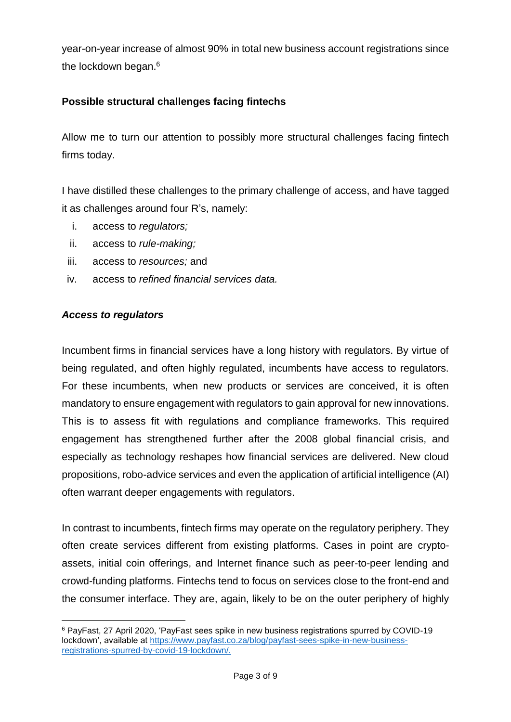year-on-year increase of almost 90% in total new business account registrations since the lockdown began. 6

### **Possible structural challenges facing fintechs**

Allow me to turn our attention to possibly more structural challenges facing fintech firms today.

I have distilled these challenges to the primary challenge of access, and have tagged it as challenges around four R's, namely:

- i. access to *regulators;*
- ii. access to *rule-making;*
- iii. access to *resources;* and
- iv. access to *refined financial services data.*

#### *Access to regulators*

Incumbent firms in financial services have a long history with regulators. By virtue of being regulated, and often highly regulated, incumbents have access to regulators. For these incumbents, when new products or services are conceived, it is often mandatory to ensure engagement with regulators to gain approval for new innovations. This is to assess fit with regulations and compliance frameworks. This required engagement has strengthened further after the 2008 global financial crisis, and especially as technology reshapes how financial services are delivered. New cloud propositions, robo-advice services and even the application of artificial intelligence (AI) often warrant deeper engagements with regulators.

In contrast to incumbents, fintech firms may operate on the regulatory periphery. They often create services different from existing platforms. Cases in point are cryptoassets, initial coin offerings, and Internet finance such as peer-to-peer lending and crowd-funding platforms. Fintechs tend to focus on services close to the front-end and the consumer interface. They are, again, likely to be on the outer periphery of highly

L, <sup>6</sup> PayFast, 27 April 2020, 'PayFast sees spike in new business registrations spurred by COVID-19 lockdown', available at [https://www.payfast.co.za/blog/payfast-sees-spike-in-new-business](https://www.payfast.co.za/blog/payfast-sees-spike-in-new-business-registrations-spurred-by-covid-19-lockdown/)[registrations-spurred-by-covid-19-lockdown/.](https://www.payfast.co.za/blog/payfast-sees-spike-in-new-business-registrations-spurred-by-covid-19-lockdown/)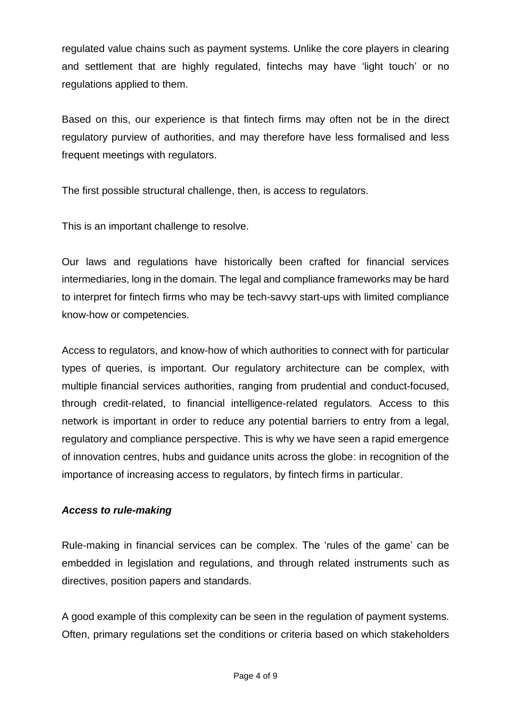regulated value chains such as payment systems. Unlike the core players in clearing and settlement that are highly regulated, fintechs may have 'light touch' or no regulations applied to them.

Based on this, our experience is that fintech firms may often not be in the direct regulatory purview of authorities, and may therefore have less formalised and less frequent meetings with regulators.

The first possible structural challenge, then, is access to regulators.

This is an important challenge to resolve.

Our laws and regulations have historically been crafted for financial services intermediaries, long in the domain. The legal and compliance frameworks may be hard to interpret for fintech firms who may be tech-savvy start-ups with limited compliance know-how or competencies.

Access to regulators, and know-how of which authorities to connect with for particular types of queries, is important. Our regulatory architecture can be complex, with multiple financial services authorities, ranging from prudential and conduct-focused, through credit-related, to financial intelligence-related regulators. Access to this network is important in order to reduce any potential barriers to entry from a legal, regulatory and compliance perspective. This is why we have seen a rapid emergence of innovation centres, hubs and guidance units across the globe: in recognition of the importance of increasing access to regulators, by fintech firms in particular.

### *Access to rule-making*

Rule-making in financial services can be complex. The 'rules of the game' can be embedded in legislation and regulations, and through related instruments such as directives, position papers and standards.

A good example of this complexity can be seen in the regulation of payment systems. Often, primary regulations set the conditions or criteria based on which stakeholders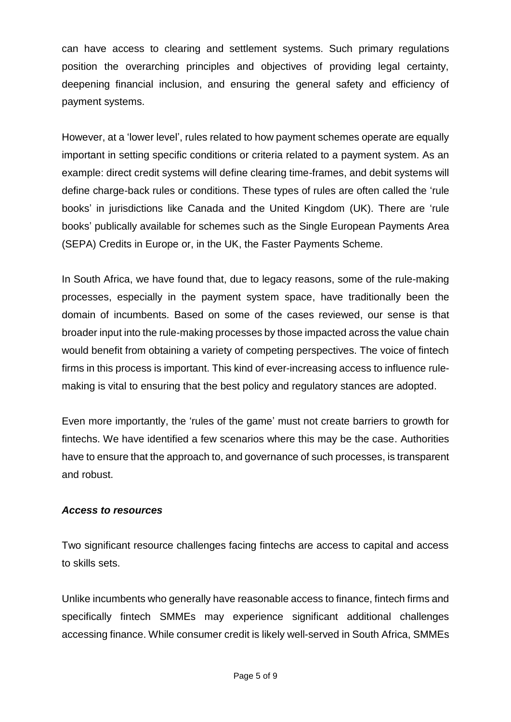can have access to clearing and settlement systems. Such primary regulations position the overarching principles and objectives of providing legal certainty, deepening financial inclusion, and ensuring the general safety and efficiency of payment systems.

However, at a 'lower level', rules related to how payment schemes operate are equally important in setting specific conditions or criteria related to a payment system. As an example: direct credit systems will define clearing time-frames, and debit systems will define charge-back rules or conditions. These types of rules are often called the 'rule books' in jurisdictions like Canada and the United Kingdom (UK). There are 'rule books' publically available for schemes such as the Single European Payments Area (SEPA) Credits in Europe or, in the UK, the Faster Payments Scheme.

In South Africa, we have found that, due to legacy reasons, some of the rule-making processes, especially in the payment system space, have traditionally been the domain of incumbents. Based on some of the cases reviewed, our sense is that broader input into the rule-making processes by those impacted across the value chain would benefit from obtaining a variety of competing perspectives. The voice of fintech firms in this process is important. This kind of ever-increasing access to influence rulemaking is vital to ensuring that the best policy and regulatory stances are adopted.

Even more importantly, the 'rules of the game' must not create barriers to growth for fintechs. We have identified a few scenarios where this may be the case. Authorities have to ensure that the approach to, and governance of such processes, is transparent and robust.

### *Access to resources*

Two significant resource challenges facing fintechs are access to capital and access to skills sets.

Unlike incumbents who generally have reasonable access to finance, fintech firms and specifically fintech SMMEs may experience significant additional challenges accessing finance. While consumer credit is likely well-served in South Africa, SMMEs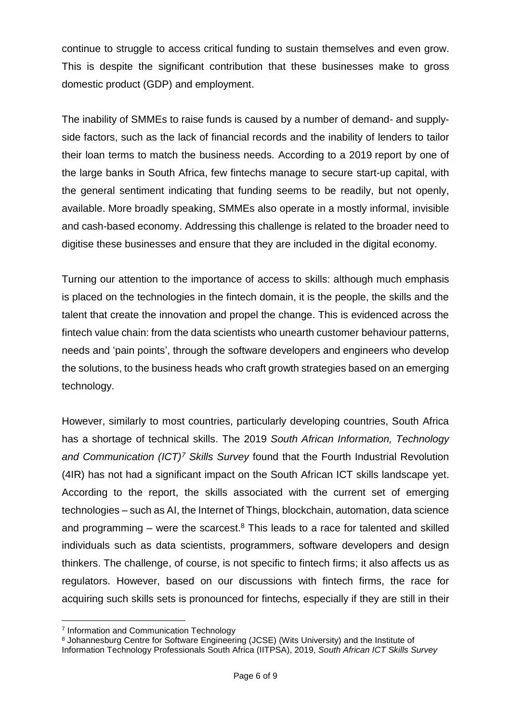continue to struggle to access critical funding to sustain themselves and even grow. This is despite the significant contribution that these businesses make to gross domestic product (GDP) and employment.

The inability of SMMEs to raise funds is caused by a number of demand- and supplyside factors, such as the lack of financial records and the inability of lenders to tailor their loan terms to match the business needs. According to a 2019 report by one of the large banks in South Africa, few fintechs manage to secure start-up capital, with the general sentiment indicating that funding seems to be readily, but not openly, available. More broadly speaking, SMMEs also operate in a mostly informal, invisible and cash-based economy. Addressing this challenge is related to the broader need to digitise these businesses and ensure that they are included in the digital economy.

Turning our attention to the importance of access to skills: although much emphasis is placed on the technologies in the fintech domain, it is the people, the skills and the talent that create the innovation and propel the change. This is evidenced across the fintech value chain: from the data scientists who unearth customer behaviour patterns, needs and 'pain points', through the software developers and engineers who develop the solutions, to the business heads who craft growth strategies based on an emerging technology.

However, similarly to most countries, particularly developing countries, South Africa has a shortage of technical skills. The 2019 *South African Information, Technology and Communication (ICT) <sup>7</sup> Skills Survey* found that the Fourth Industrial Revolution (4IR) has not had a significant impact on the South African ICT skills landscape yet. According to the report, the skills associated with the current set of emerging technologies – such as AI, the Internet of Things, blockchain, automation, data science and programming  $-$  were the scarcest. $8$  This leads to a race for talented and skilled individuals such as data scientists, programmers, software developers and design thinkers. The challenge, of course, is not specific to fintech firms; it also affects us as regulators. However, based on our discussions with fintech firms, the race for acquiring such skills sets is pronounced for fintechs, especially if they are still in their

L,

<sup>7</sup> Information and Communication Technology

<sup>8</sup> Johannesburg Centre for Software Engineering (JCSE) (Wits University) and the Institute of Information Technology Professionals South Africa (IITPSA), 2019, *South African ICT Skills Survey*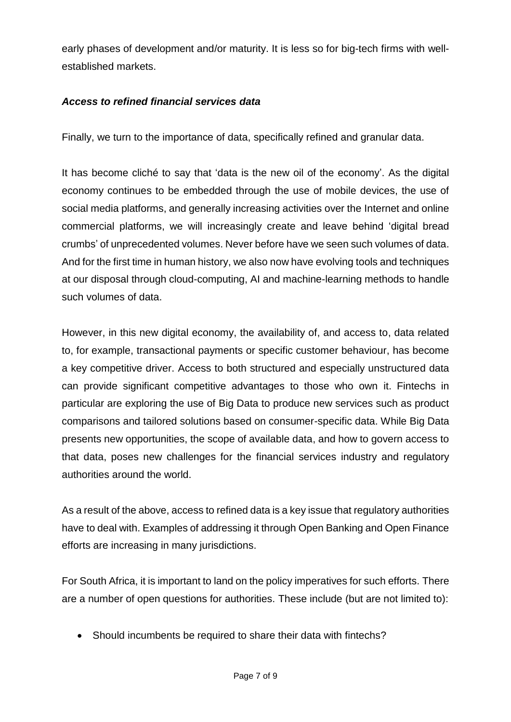early phases of development and/or maturity. It is less so for big-tech firms with wellestablished markets.

### *Access to refined financial services data*

Finally, we turn to the importance of data, specifically refined and granular data.

It has become cliché to say that 'data is the new oil of the economy'. As the digital economy continues to be embedded through the use of mobile devices, the use of social media platforms, and generally increasing activities over the Internet and online commercial platforms, we will increasingly create and leave behind 'digital bread crumbs' of unprecedented volumes. Never before have we seen such volumes of data. And for the first time in human history, we also now have evolving tools and techniques at our disposal through cloud-computing, AI and machine-learning methods to handle such volumes of data.

However, in this new digital economy, the availability of, and access to, data related to, for example, transactional payments or specific customer behaviour, has become a key competitive driver. Access to both structured and especially unstructured data can provide significant competitive advantages to those who own it. Fintechs in particular are exploring the use of Big Data to produce new services such as product comparisons and tailored solutions based on consumer-specific data. While Big Data presents new opportunities, the scope of available data, and how to govern access to that data, poses new challenges for the financial services industry and regulatory authorities around the world.

As a result of the above, access to refined data is a key issue that regulatory authorities have to deal with. Examples of addressing it through Open Banking and Open Finance efforts are increasing in many jurisdictions.

For South Africa, it is important to land on the policy imperatives for such efforts. There are a number of open questions for authorities. These include (but are not limited to):

• Should incumbents be required to share their data with fintechs?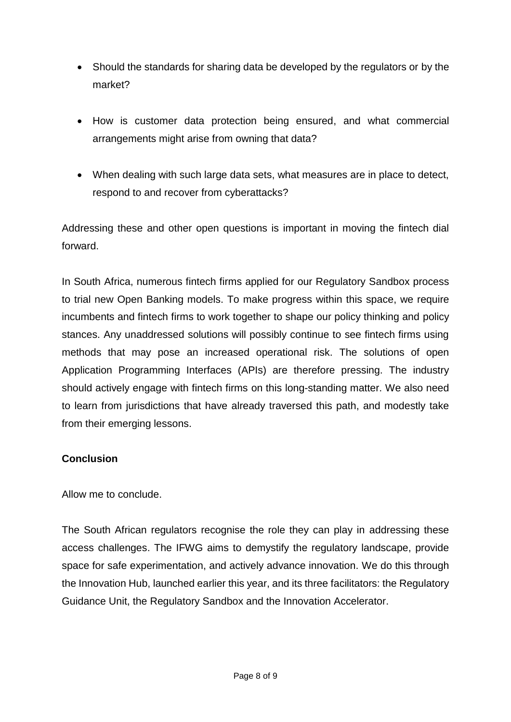- Should the standards for sharing data be developed by the regulators or by the market?
- How is customer data protection being ensured, and what commercial arrangements might arise from owning that data?
- When dealing with such large data sets, what measures are in place to detect, respond to and recover from cyberattacks?

Addressing these and other open questions is important in moving the fintech dial forward.

In South Africa, numerous fintech firms applied for our Regulatory Sandbox process to trial new Open Banking models. To make progress within this space, we require incumbents and fintech firms to work together to shape our policy thinking and policy stances. Any unaddressed solutions will possibly continue to see fintech firms using methods that may pose an increased operational risk. The solutions of open Application Programming Interfaces (APIs) are therefore pressing. The industry should actively engage with fintech firms on this long-standing matter. We also need to learn from jurisdictions that have already traversed this path, and modestly take from their emerging lessons.

# **Conclusion**

Allow me to conclude.

The South African regulators recognise the role they can play in addressing these access challenges. The IFWG aims to demystify the regulatory landscape, provide space for safe experimentation, and actively advance innovation. We do this through the Innovation Hub, launched earlier this year, and its three facilitators: the Regulatory Guidance Unit, the Regulatory Sandbox and the Innovation Accelerator.